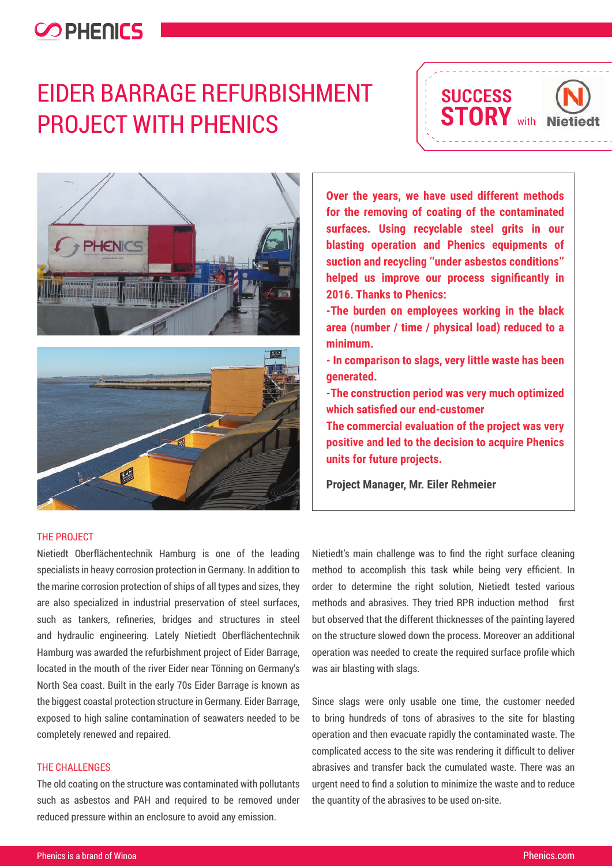### **COPHENICS**

# EIDER BARRAGE REFURBISHMENT PROJECT WITH PHENICS







The Project

Nietiedt Oberflächentechnik Hamburg is one of the leading specialists in heavy corrosion protection in Germany. In addition to the marine corrosion protection of ships of all types and sizes, they are also specialized in industrial preservation of steel surfaces, such as tankers, refineries, bridges and structures in steel and hydraulic engineering. Lately Nietiedt Oberflächentechnik Hamburg was awarded the refurbishment project of Eider Barrage, located in the mouth of the river Eider near Tönning on Germany's North Sea coast. Built in the early 70s Eider Barrage is known as the biggest coastal protection structure in Germany. Eider Barrage, exposed to high saline contamination of seawaters needed to be completely renewed and repaired.

### The Challenges

The old coating on the structure was contaminated with pollutants such as asbestos and PAH and required to be removed under reduced pressure within an enclosure to avoid any emission.

**Over the years, we have used different methods for the removing of coating of the contaminated surfaces. Using recyclable steel grits in our blasting operation and Phenics equipments of suction and recycling ''under asbestos conditions'' helped us improve our process significantly in 2016. Thanks to Phenics:**

**-The burden on employees working in the black area (number / time / physical load) reduced to a minimum.**

**- In comparison to slags, very little waste has been generated.**

**-The construction period was very much optimized which satisfied our end-customer**

**The commercial evaluation of the project was very positive and led to the decision to acquire Phenics units for future projects.** 

**Project Manager, Mr. Eiler Rehmeier**

Nietiedt's main challenge was to find the right surface cleaning method to accomplish this task while being very efficient. In order to determine the right solution, Nietiedt tested various methods and abrasives. They tried RPR induction method first but observed that the different thicknesses of the painting layered on the structure slowed down the process. Moreover an additional operation was needed to create the required surface profile which was air blasting with slags.

Since slags were only usable one time, the customer needed to bring hundreds of tons of abrasives to the site for blasting operation and then evacuate rapidly the contaminated waste. The complicated access to the site was rendering it difficult to deliver abrasives and transfer back the cumulated waste. There was an urgent need to find a solution to minimize the waste and to reduce the quantity of the abrasives to be used on-site.